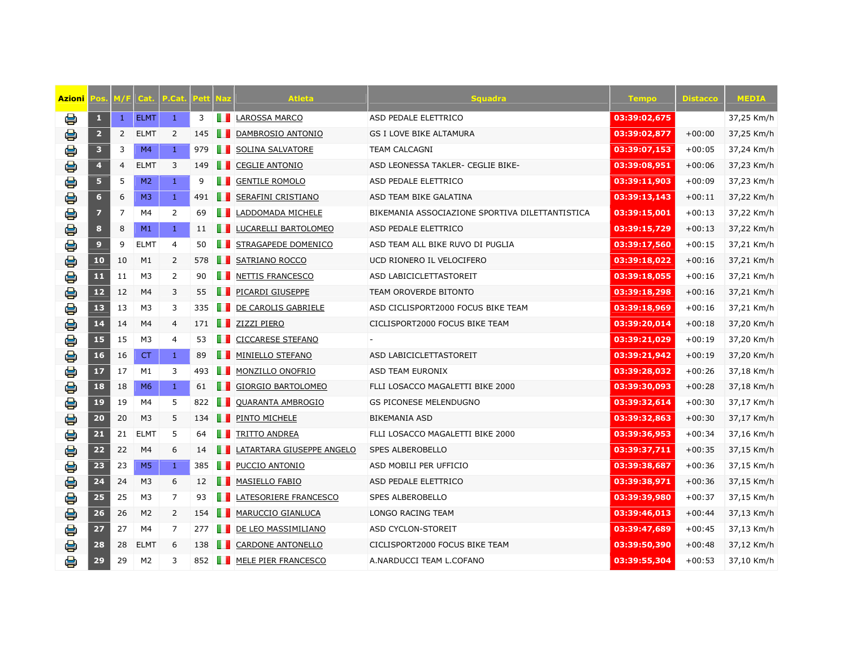| Azioni |                         | 47 F           | Cat            | Cat            | 'eti          | <u>laz</u> | <b>Atleta</b>             | <b>Squadra</b>                                  | <b>Tempo</b> | <b>Distacco</b> | MEDIA      |
|--------|-------------------------|----------------|----------------|----------------|---------------|------------|---------------------------|-------------------------------------------------|--------------|-----------------|------------|
| e      | $\mathbf{1}$            | $\mathbf{1}$   | <b>ELMT</b>    | $\mathbf{1}$   | 3             |            | LAROSSA MARCO             | ASD PEDALE ELETTRICO                            | 03:39:02,675 |                 | 37,25 Km/h |
| €      | $\overline{2}$          | $\overline{2}$ | <b>ELMT</b>    | 2              | 145           |            | DAMBROSIO ANTONIO         | <b>GS I LOVE BIKE ALTAMURA</b>                  | 03:39:02,877 | $+00:00$        | 37,25 Km/h |
| e      | $\overline{\mathbf{3}}$ | 3              | M <sub>4</sub> | $\mathbf{1}$   | 979           |            | SOLINA SALVATORE          | <b>TEAM CALCAGNI</b>                            | 03:39:07,153 | $+00:05$        | 37,24 Km/h |
| e      | $\overline{\mathbf{4}}$ | 4              | <b>ELMT</b>    | 3              | 149           | m          | <b>CEGLIE ANTONIO</b>     | ASD LEONESSA TAKLER- CEGLIE BIKE-               | 03:39:08,951 | $+00:06$        | 37,23 Km/h |
| ₿      | 5                       | 5              | M <sub>2</sub> | $\mathbf{1}$   | 9             |            | <b>GENTILE ROMOLO</b>     | ASD PEDALE ELETTRICO                            | 03:39:11,903 | $+00:09$        | 37,23 Km/h |
| €      | $\bf 6$                 | 6              | M <sub>3</sub> | $\mathbf{1}$   | 491           |            | <b>SERAFINI CRISTIANO</b> | ASD TEAM BIKE GALATINA                          | 03:39:13,143 | $+00:11$        | 37,22 Km/h |
| €      | $\overline{\mathbf{z}}$ | 7              | M4             | 2              | 69            |            | LADDOMADA MICHELE         | BIKEMANIA ASSOCIAZIONE SPORTIVA DILETTANTISTICA | 03:39:15,001 | $+00:13$        | 37,22 Km/h |
| €      | $\pmb{8}$               | 8              | M1             | $\mathbf{1}$   | 11            |            | LUCARELLI BARTOLOMEO      | ASD PEDALE ELETTRICO                            | 03:39:15,729 | $+00:13$        | 37,22 Km/h |
| 용      | $\overline{9}$          | 9              | <b>ELMT</b>    | $\overline{4}$ | 50            | . .        | STRAGAPEDE DOMENICO       | ASD TEAM ALL BIKE RUVO DI PUGLIA                | 03:39:17,560 | $+00:15$        | 37,21 Km/h |
| €      | 10                      | 10             | M1             | 2              | 578           |            | SATRIANO ROCCO            | UCD RIONERO IL VELOCIFERO                       | 03:39:18,022 | $+00:16$        | 37,21 Km/h |
| e      | $11$                    | 11             | M <sub>3</sub> | 2              | 90            |            | <b>NETTIS FRANCESCO</b>   | ASD LABICICLETTASTOREIT                         | 03:39:18,055 | $+00:16$        | 37,21 Km/h |
| e      | 12                      | 12             | M4             | 3              | 55            |            | PICARDI GIUSEPPE          | <b>TEAM OROVERDE BITONTO</b>                    | 03:39:18,298 | $+00:16$        | 37,21 Km/h |
| e      | 13                      | 13             | M3             | 3              | 335           |            | DE CAROLIS GABRIELE       | ASD CICLISPORT2000 FOCUS BIKE TEAM              | 03:39:18,969 | $+00:16$        | 37,21 Km/h |
| €      | 14                      | 14             | M4             | 4              | 171           | a a s      | ZIZZI PIERO               | CICLISPORT2000 FOCUS BIKE TEAM                  | 03:39:20,014 | $+00:18$        | 37,20 Km/h |
| e      | 15                      | 15             | M <sub>3</sub> | 4              | 53            | ш          | <b>CICCARESE STEFANO</b>  |                                                 | 03:39:21,029 | $+00:19$        | 37,20 Km/h |
| €      | 16                      | 16             | <b>CT</b>      | $\mathbf{1}$   | 89            | . .        | MINIELLO STEFANO          | ASD LABICICLETTASTOREIT                         | 03:39:21,942 | $+00:19$        | 37,20 Km/h |
| 8      | 17                      | 17             | M1             | 3              | 493           | a s        | MONZILLO ONOFRIO          | ASD TEAM EURONIX                                | 03:39:28,032 | $+00:26$        | 37,18 Km/h |
| €      | 18                      | 18             | M6             | $\mathbf{1}$   | 61            |            | GIORGIO BARTOLOMEO        | FLLI LOSACCO MAGALETTI BIKE 2000                | 03:39:30,093 | $+00:28$        | 37,18 Km/h |
| ₿      | 19                      | 19             | M4             | 5              | 822           |            | QUARANTA AMBROGIO         | <b>GS PICONESE MELENDUGNO</b>                   | 03:39:32,614 | $+00:30$        | 37,17 Km/h |
| e      | 20                      | 20             | M <sub>3</sub> | 5              | 134           |            | PINTO MICHELE             | <b>BIKEMANIA ASD</b>                            | 03:39:32,863 | $+00:30$        | 37,17 Km/h |
| €      | 21                      | 21             | <b>ELMT</b>    | 5              | 64            |            | TRITTO ANDREA             | FLLI LOSACCO MAGALETTI BIKE 2000                | 03:39:36,953 | $+00:34$        | 37,16 Km/h |
| €      | 22                      | 22             | M <sub>4</sub> | 6              | 14            |            | LATARTARA GIUSEPPE ANGELO | <b>SPES ALBEROBELLO</b>                         | 03:39:37,711 | $+00:35$        | 37,15 Km/h |
| €      | 23                      | 23             | M <sub>5</sub> | $\mathbf{1}$   | 385           |            | PUCCIO ANTONIO            | ASD MOBILI PER UFFICIO                          | 03:39:38,687 | $+00:36$        | 37,15 Km/h |
| e      | 24                      | 24             | M <sub>3</sub> | 6              | 12            | ш          | MASIELLO FABIO            | ASD PEDALE ELETTRICO                            | 03:39:38,971 | $+00:36$        | 37,15 Km/h |
| €      | 25                      | 25             | M3             | 7              | 93            | ш          | LATESORIERE FRANCESCO     | SPES ALBEROBELLO                                | 03:39:39,980 | $+00:37$        | 37,15 Km/h |
| €      | 26                      | 26             | M <sub>2</sub> | $\overline{2}$ | 154           |            | <b>MARUCCIO GIANLUCA</b>  | LONGO RACING TEAM                               | 03:39:46,013 | $+00:44$        | 37,13 Km/h |
| e      | 27                      | 27             | M4             | 7              | 277           | . .        | DE LEO MASSIMILIANO       | ASD CYCLON-STOREIT                              | 03:39:47,689 | $+00:45$        | 37,13 Km/h |
| e      | 28                      | 28             | <b>ELMT</b>    | 6              | 138           |            | <b>CARDONE ANTONELLO</b>  | CICLISPORT2000 FOCUS BIKE TEAM                  | 03:39:50,390 | $+00:48$        | 37,12 Km/h |
| e      | 29                      | 29             | M <sub>2</sub> | 3              | 852 <b>11</b> |            | MELE PIER FRANCESCO       | A.NARDUCCI TEAM L.COFANO                        | 03:39:55,304 | $+00:53$        | 37,10 Km/h |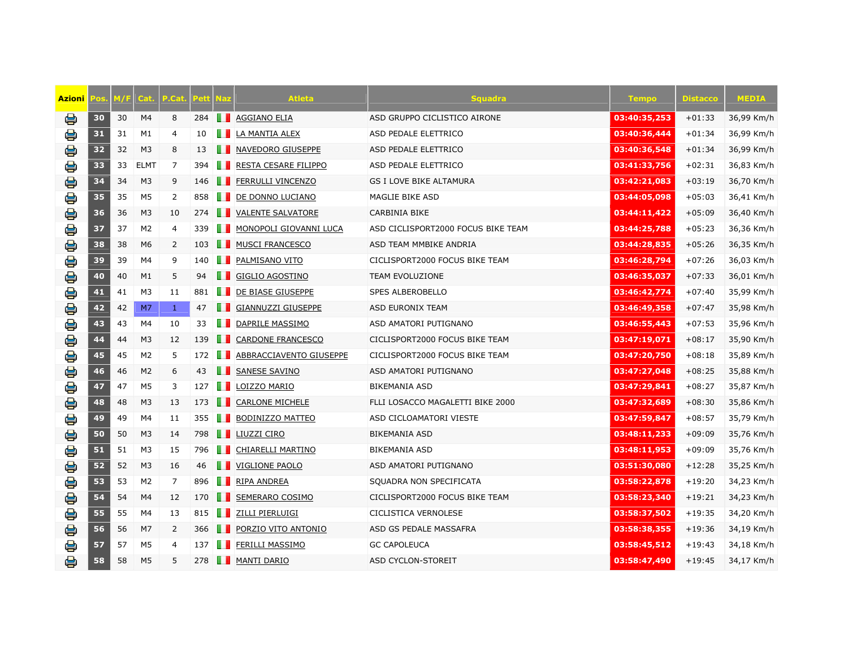| Azioni | 0S | 47 F | Cat            | .Cat           | <b>Peti</b> | <u>laz</u>   | <b>Atleta</b>            | <b>Squadra</b>                     | <b>Tempo</b> | <b>Distacco</b> | MEDIA      |
|--------|----|------|----------------|----------------|-------------|--------------|--------------------------|------------------------------------|--------------|-----------------|------------|
| e      | 30 | 30   | M4             | 8              | 284         |              | AGGIANO ELIA             | ASD GRUPPO CICLISTICO AIRONE       | 03:40:35,253 | $+01:33$        | 36,99 Km/h |
| ₿      | 31 | 31   | M1             | 4              | 10          |              | LA MANTIA ALEX           | ASD PEDALE ELETTRICO               | 03:40:36,444 | $+01:34$        | 36,99 Km/h |
| e      | 32 | 32   | M <sub>3</sub> | 8              | 13          |              | NAVEDORO GIUSEPPE        | <b>ASD PEDALE ELETTRICO</b>        | 03:40:36,548 | $+01:34$        | 36,99 Km/h |
| e      | 33 | 33   | <b>ELMT</b>    | $\overline{7}$ | 394         | ш            | RESTA CESARE FILIPPO     | ASD PEDALE ELETTRICO               | 03:41:33,756 | $+02:31$        | 36,83 Km/h |
| €      | 34 | 34   | M <sub>3</sub> | 9              | 146         | . .          | <b>FERRULLI VINCENZO</b> | <b>GS I LOVE BIKE ALTAMURA</b>     | 03:42:21,083 | $+03:19$        | 36,70 Km/h |
| e      | 35 | 35   | M <sub>5</sub> | 2              | 858         | П            | DE DONNO LUCIANO         | MAGLIE BIKE ASD                    | 03:44:05,098 | $+05:03$        | 36,41 Km/h |
| €      | 36 | 36   | M <sub>3</sub> | 10             | 274         |              | <b>VALENTE SALVATORE</b> | CARBINIA BIKE                      | 03:44:11,422 | $+05:09$        | 36,40 Km/h |
| €      | 37 | 37   | M <sub>2</sub> | 4              | 339         | w            | MONOPOLI GIOVANNI LUCA   | ASD CICLISPORT2000 FOCUS BIKE TEAM | 03:44:25,788 | $+05:23$        | 36,36 Km/h |
| e      | 38 | 38   | M6             | 2              | 103         | . .          | <b>MUSCI FRANCESCO</b>   | ASD TEAM MMBIKE ANDRIA             | 03:44:28,835 | $+05:26$        | 36,35 Km/h |
| €      | 39 | 39   | M4             | 9              | 140         | a a          | PALMISANO VITO           | CICLISPORT2000 FOCUS BIKE TEAM     | 03:46:28,794 | $+07:26$        | 36,03 Km/h |
| €      | 40 | 40   | M1             | 5              | 94          | 80           | GIGLIO AGOSTINO          | TEAM EVOLUZIONE                    | 03:46:35,037 | $+07:33$        | 36,01 Km/h |
| e      | 41 | 41   | M3             | 11             | 881         | . .          | DE BIASE GIUSEPPE        | <b>SPES ALBEROBELLO</b>            | 03:46:42,774 | $+07:40$        | 35,99 Km/h |
| e      | 42 | 42   | M7             | $\mathbf{1}$   | 47          |              | GIANNUZZI GIUSEPPE       | <b>ASD EURONIX TEAM</b>            | 03:46:49,358 | $+07:47$        | 35,98 Km/h |
| 8      | 43 | 43   | M4             | 10             | 33          | m            | DAPRILE MASSIMO          | ASD AMATORI PUTIGNANO              | 03:46:55,443 | $+07:53$        | 35,96 Km/h |
| €      | 44 | 44   | M <sub>3</sub> | 12             | 139         | n n          | <b>CARDONE FRANCESCO</b> | CICLISPORT2000 FOCUS BIKE TEAM     | 03:47:19,071 | $+08:17$        | 35,90 Km/h |
| €      | 45 | 45   | M <sub>2</sub> | 5              | 172         |              | ABBRACCIAVENTO GIUSEPPE  | CICLISPORT2000 FOCUS BIKE TEAM     | 03:47:20,750 | $+08:18$        | 35,89 Km/h |
| €      | 46 | 46   | M <sub>2</sub> | 6              | 43          | . .          | <b>SANESE SAVINO</b>     | ASD AMATORI PUTIGNANO              | 03:47:27,048 | $+08:25$        | 35,88 Km/h |
| ₿      | 47 | 47   | M <sub>5</sub> | 3              | 127         | ш            | LOIZZO MARIO             | <b>BIKEMANIA ASD</b>               | 03:47:29,841 | $+08:27$        | 35,87 Km/h |
| €      | 48 | 48   | M <sub>3</sub> | 13             | 173         | n n          | <b>CARLONE MICHELE</b>   | FLLI LOSACCO MAGALETTI BIKE 2000   | 03:47:32,689 | $+08:30$        | 35,86 Km/h |
| e      | 49 | 49   | M4             | 11             | 355         |              | BODINIZZO MATTEO         | ASD CICLOAMATORI VIESTE            | 03:47:59,847 | $+08:57$        | 35,79 Km/h |
| €      | 50 | 50   | M3             | 14             | 798         |              | LIUZZI CIRO              | <b>BIKEMANIA ASD</b>               | 03:48:11,233 | $+09:09$        | 35,76 Km/h |
| €      | 51 | 51   | M <sub>3</sub> | 15             | 796         | <b>THE R</b> | CHIARELLI MARTINO        | <b>BIKEMANIA ASD</b>               | 03:48:11,953 | $+09:09$        | 35,76 Km/h |
| €      | 52 | 52   | M <sub>3</sub> | 16             | 46          | a a          | VIGLIONE PAOLO           | ASD AMATORI PUTIGNANO              | 03:51:30,080 | $+12:28$        | 35,25 Km/h |
| €      | 53 | 53   | M <sub>2</sub> | 7              | 896         | m            | RIPA ANDREA              | SQUADRA NON SPECIFICATA            | 03:58:22,878 | $+19:20$        | 34,23 Km/h |
| e      | 54 | 54   | M4             | 12             | 170         | ш            | SEMERARO COSIMO          | CICLISPORT2000 FOCUS BIKE TEAM     | 03:58:23,340 | $+19:21$        | 34,23 Km/h |
| ₿      | 55 | 55   | M4             | 13             | 815         | Ш            | ZILLI PIERLUIGI          | CICLISTICA VERNOLESE               | 03:58:37,502 | $+19:35$        | 34,20 Km/h |
| e      | 56 | 56   | M7             | 2              | 366         | . .          | PORZIO VITO ANTONIO      | ASD GS PEDALE MASSAFRA             | 03:58:38,355 | $+19:36$        | 34,19 Km/h |
| e      | 57 | 57   | M <sub>5</sub> | 4              | 137         |              | FERILLI MASSIMO          | <b>GC CAPOLEUCA</b>                | 03:58:45,512 | $+19:43$        | 34,18 Km/h |
| e      | 58 | 58   | M <sub>5</sub> | 5              | 278         | m            | <b>MANTI DARIO</b>       | <b>ASD CYCLON-STOREIT</b>          | 03:58:47,490 | $+19:45$        | 34,17 Km/h |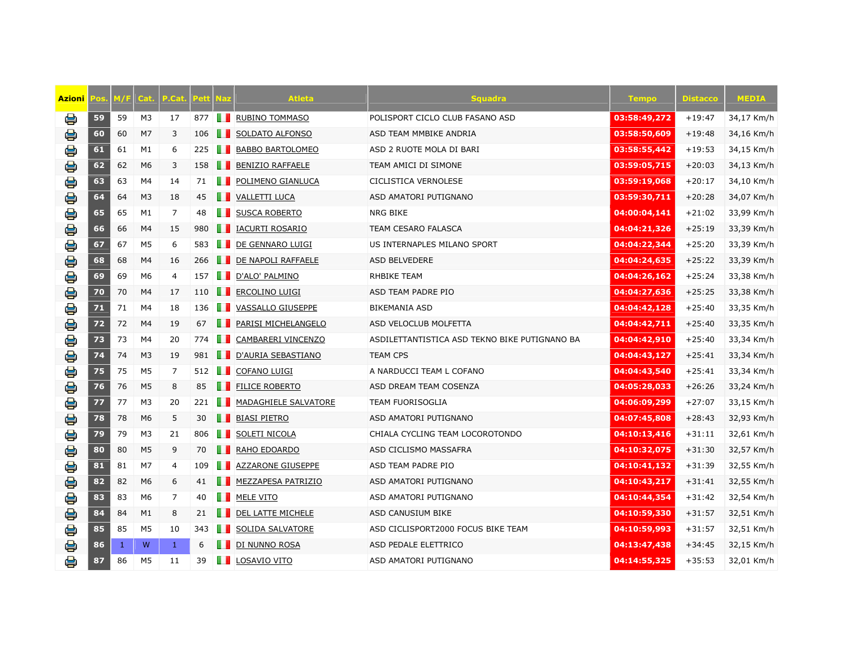| Azioni |    | VI / F | Cat            | $.$ Cat $\overline{ }$ |     | <u>laz</u>   | <b>Atleta</b>            | <b>Squadra</b>                                | <b>Tempo</b> | Distacco | <b>MEDIA</b> |
|--------|----|--------|----------------|------------------------|-----|--------------|--------------------------|-----------------------------------------------|--------------|----------|--------------|
| e      | 59 | 59     | M <sub>3</sub> | 17                     | 877 |              | <b>RUBINO TOMMASO</b>    | POLISPORT CICLO CLUB FASANO ASD               | 03:58:49,272 | $+19:47$ | 34,17 Km/h   |
| e      | 60 | 60     | M <sub>7</sub> | 3                      | 106 |              | SOLDATO ALFONSO          | ASD TEAM MMBIKE ANDRIA                        | 03:58:50,609 | $+19:48$ | 34,16 Km/h   |
| e      | 61 | 61     | M1             | 6                      | 225 |              | <b>BABBO BARTOLOMEO</b>  | ASD 2 RUOTE MOLA DI BARI                      | 03:58:55,442 | $+19:53$ | 34,15 Km/h   |
| e      | 62 | 62     | M <sub>6</sub> | 3                      | 158 | m            | <b>BENIZIO RAFFAELE</b>  | TEAM AMICI DI SIMONE                          | 03:59:05,715 | $+20:03$ | 34,13 Km/h   |
| ₿      | 63 | 63     | M4             | 14                     | 71  |              | POLIMENO GIANLUCA        | CICLISTICA VERNOLESE                          | 03:59:19,068 | $+20:17$ | 34,10 Km/h   |
| €      | 64 | 64     | M3             | 18                     | 45  |              | <b>VALLETTI LUCA</b>     | ASD AMATORI PUTIGNANO                         | 03:59:30,711 | $+20:28$ | 34,07 Km/h   |
| e      | 65 | 65     | M1             | 7                      | 48  |              | SUSCA ROBERTO            | NRG BIKE                                      | 04:00:04,141 | $+21:02$ | 33,99 Km/h   |
| €      | 66 | 66     | M4             | 15                     | 980 |              | IACURTI ROSARIO          | <b>TEAM CESARO FALASCA</b>                    | 04:04:21,326 | $+25:19$ | 33,39 Km/h   |
| 8      | 67 | 67     | M <sub>5</sub> | 6                      | 583 | n n          | DE GENNARO LUIGI         | US INTERNAPLES MILANO SPORT                   | 04:04:22,344 | $+25:20$ | 33,39 Km/h   |
| €      | 68 | 68     | M4             | 16                     | 266 | . .          | DE NAPOLI RAFFAELE       | ASD BELVEDERE                                 | 04:04:24,635 | $+25:22$ | 33,39 Km/h   |
| e      | 69 | 69     | M6             | 4                      | 157 | m            | D'ALO' PALMINO           | RHBIKE TEAM                                   | 04:04:26,162 | $+25:24$ | 33,38 Km/h   |
| e      | 70 | 70     | M4             | 17                     | 110 |              | <b>ERCOLINO LUIGI</b>    | ASD TEAM PADRE PIO                            | 04:04:27,636 | $+25:25$ | 33,38 Km/h   |
| e      | 71 | 71     | M4             | 18                     | 136 | n n          | VASSALLO GIUSEPPE        | BIKEMANIA ASD                                 | 04:04:42,128 | $+25:40$ | 33,35 Km/h   |
| €      | 72 | 72     | M4             | 19                     | 67  |              | PARISI MICHELANGELO      | ASD VELOCLUB MOLFETTA                         | 04:04:42,711 | $+25:40$ | 33,35 Km/h   |
| e      | 73 | 73     | M4             | 20                     | 774 | m            | CAMBARERI VINCENZO       | ASDILETTANTISTICA ASD TEKNO BIKE PUTIGNANO BA | 04:04:42,910 | $+25:40$ | 33,34 Km/h   |
| €      | 74 | 74     | M <sub>3</sub> | 19                     | 981 | . .          | D'AURIA SEBASTIANO       | <b>TEAM CPS</b>                               | 04:04:43,127 | $+25:41$ | 33,34 Km/h   |
| 8      | 75 | 75     | M <sub>5</sub> | 7                      | 512 | <b>THE R</b> | <b>COFANO LUIGI</b>      | A NARDUCCI TEAM L COFANO                      | 04:04:43,540 | $+25:41$ | 33,34 Km/h   |
| €      | 76 | 76     | M <sub>5</sub> | 8                      | 85  | n n          | <b>FILICE ROBERTO</b>    | ASD DREAM TEAM COSENZA                        | 04:05:28,033 | $+26:26$ | 33,24 Km/h   |
| ₿      | 77 | 77     | M <sub>3</sub> | 20                     | 221 |              | MADAGHIELE SALVATORE     | <b>TEAM FUORISOGLIA</b>                       | 04:06:09,299 | $+27:07$ | 33,15 Km/h   |
| e      | 78 | 78     | M <sub>6</sub> | 5                      | 30  | a a          | <b>BIASI PIETRO</b>      | ASD AMATORI PUTIGNANO                         | 04:07:45,808 | $+28:43$ | 32,93 Km/h   |
| €      | 79 | 79     | M3             | 21                     | 806 |              | SOLETI NICOLA            | CHIALA CYCLING TEAM LOCOROTONDO               | 04:10:13,416 | $+31:11$ | 32,61 Km/h   |
| e      | 80 | 80     | M <sub>5</sub> | 9                      | 70  |              | RAHO EDOARDO             | ASD CICLISMO MASSAFRA                         | 04:10:32,075 | $+31:30$ | 32,57 Km/h   |
| €      | 81 | 81     | M7             | 4                      | 109 |              | <b>AZZARONE GIUSEPPE</b> | ASD TEAM PADRE PIO                            | 04:10:41,132 | $+31:39$ | 32,55 Km/h   |
| e      | 82 | 82     | M <sub>6</sub> | 6                      | 41  | n n          | MEZZAPESA PATRIZIO       | ASD AMATORI PUTIGNANO                         | 04:10:43,217 | $+31:41$ | 32,55 Km/h   |
| €      | 83 | 83     | M <sub>6</sub> | 7                      | 40  | H            | MELE VITO                | ASD AMATORI PUTIGNANO                         | 04:10:44,354 | $+31:42$ | 32,54 Km/h   |
| e      | 84 | 84     | M1             | 8                      | 21  |              | DEL LATTE MICHELE        | ASD CANUSIUM BIKE                             | 04:10:59,330 | $+31:57$ | 32,51 Km/h   |
| e      | 85 | 85     | M <sub>5</sub> | 10                     | 343 |              | SOLIDA SALVATORE         | ASD CICLISPORT2000 FOCUS BIKE TEAM            | 04:10:59,993 | $+31:57$ | 32,51 Km/h   |
| e      | 86 | 1      | W              | $\mathbf{1}$           | 6   |              | DI NUNNO ROSA            | ASD PEDALE ELETTRICO                          | 04:13:47,438 | $+34:45$ | 32,15 Km/h   |
| e      | 87 | 86     | M <sub>5</sub> | 11                     | 39  |              | <b>LA LOSAVIO VITO</b>   | ASD AMATORI PUTIGNANO                         | 04:14:55,325 | $+35:53$ | 32,01 Km/h   |